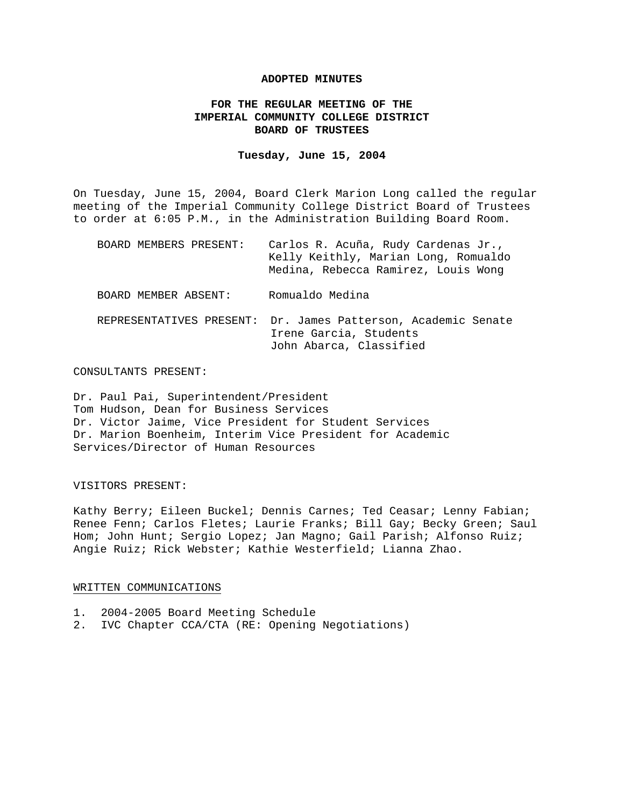### **ADOPTED MINUTES**

# **FOR THE REGULAR MEETING OF THE IMPERIAL COMMUNITY COLLEGE DISTRICT BOARD OF TRUSTEES**

### **Tuesday, June 15, 2004**

On Tuesday, June 15, 2004, Board Clerk Marion Long called the regular meeting of the Imperial Community College District Board of Trustees to order at 6:05 P.M., in the Administration Building Board Room.

| BOARD MEMBERS PRESENT:   | Carlos R. Acuña, Rudy Cardenas Jr.,<br>Kelly Keithly, Marian Long, Romualdo<br>Medina, Rebecca Ramirez, Louis Wong |
|--------------------------|--------------------------------------------------------------------------------------------------------------------|
| BOARD MEMBER ABSENT:     | Romualdo Medina                                                                                                    |
| REPRESENTATIVES PRESENT: | Dr. James Patterson, Academic Senate<br>Irene Garcia, Students<br>John Abarca, Classified                          |

## CONSULTANTS PRESENT:

Dr. Paul Pai, Superintendent/President Tom Hudson, Dean for Business Services Dr. Victor Jaime, Vice President for Student Services Dr. Marion Boenheim, Interim Vice President for Academic Services/Director of Human Resources

### VISITORS PRESENT:

Kathy Berry; Eileen Buckel; Dennis Carnes; Ted Ceasar; Lenny Fabian; Renee Fenn; Carlos Fletes; Laurie Franks; Bill Gay; Becky Green; Saul Hom; John Hunt; Sergio Lopez; Jan Magno; Gail Parish; Alfonso Ruiz; Angie Ruiz; Rick Webster; Kathie Westerfield; Lianna Zhao.

## WRITTEN COMMUNICATIONS

- 1. 2004-2005 Board Meeting Schedule
- 2. IVC Chapter CCA/CTA (RE: Opening Negotiations)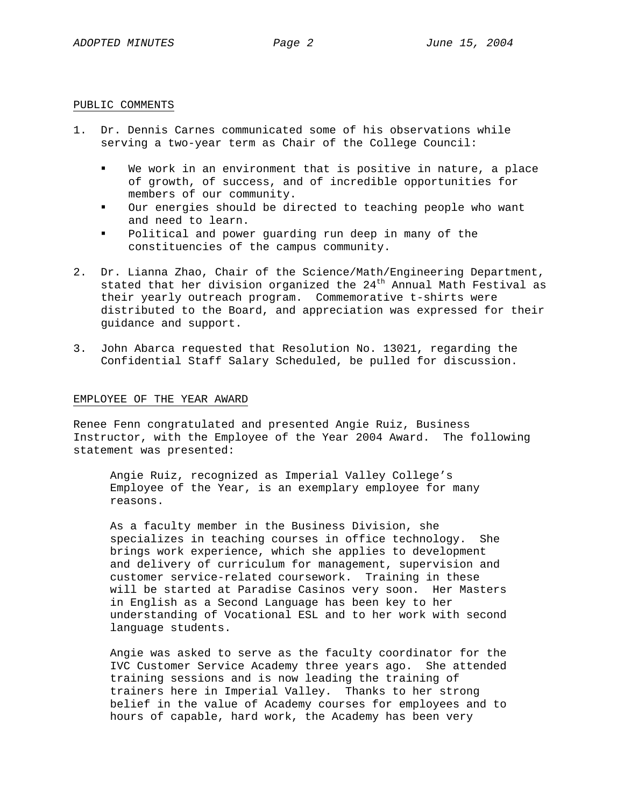## PUBLIC COMMENTS

- 1. Dr. Dennis Carnes communicated some of his observations while serving a two-year term as Chair of the College Council:
	- We work in an environment that is positive in nature, a place of growth, of success, and of incredible opportunities for members of our community.
	- Our energies should be directed to teaching people who want and need to learn.
	- Political and power guarding run deep in many of the constituencies of the campus community.
- 2. Dr. Lianna Zhao, Chair of the Science/Math/Engineering Department, stated that her division organized the 24<sup>th</sup> Annual Math Festival as their yearly outreach program. Commemorative t-shirts were distributed to the Board, and appreciation was expressed for their guidance and support.
- 3. John Abarca requested that Resolution No. 13021, regarding the Confidential Staff Salary Scheduled, be pulled for discussion.

#### EMPLOYEE OF THE YEAR AWARD

Renee Fenn congratulated and presented Angie Ruiz, Business Instructor, with the Employee of the Year 2004 Award. The following statement was presented:

Angie Ruiz, recognized as Imperial Valley College's Employee of the Year, is an exemplary employee for many reasons.

As a faculty member in the Business Division, she specializes in teaching courses in office technology. She brings work experience, which she applies to development and delivery of curriculum for management, supervision and customer service-related coursework. Training in these will be started at Paradise Casinos very soon. Her Masters in English as a Second Language has been key to her understanding of Vocational ESL and to her work with second language students.

Angie was asked to serve as the faculty coordinator for the IVC Customer Service Academy three years ago. She attended training sessions and is now leading the training of trainers here in Imperial Valley. Thanks to her strong belief in the value of Academy courses for employees and to hours of capable, hard work, the Academy has been very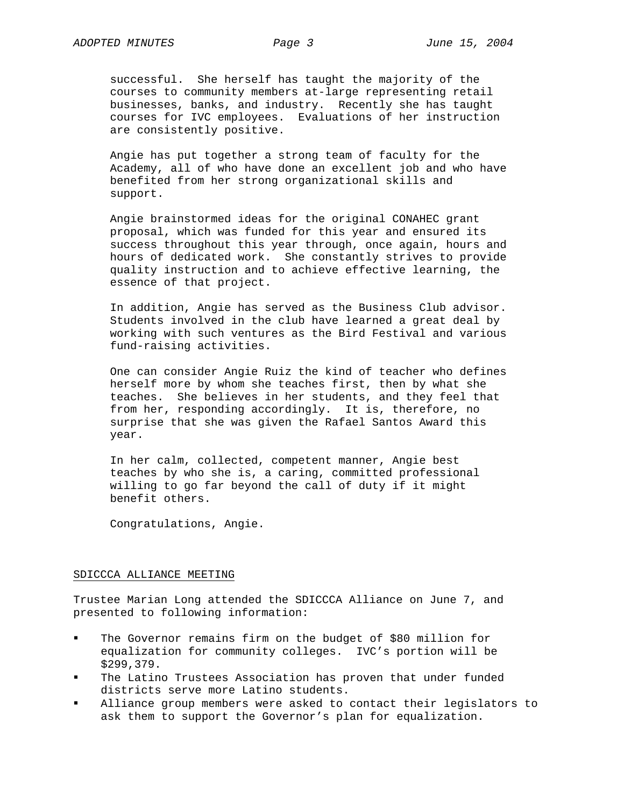successful. She herself has taught the majority of the courses to community members at-large representing retail businesses, banks, and industry. Recently she has taught courses for IVC employees. Evaluations of her instruction are consistently positive.

Angie has put together a strong team of faculty for the Academy, all of who have done an excellent job and who have benefited from her strong organizational skills and support.

Angie brainstormed ideas for the original CONAHEC grant proposal, which was funded for this year and ensured its success throughout this year through, once again, hours and hours of dedicated work. She constantly strives to provide quality instruction and to achieve effective learning, the essence of that project.

In addition, Angie has served as the Business Club advisor. Students involved in the club have learned a great deal by working with such ventures as the Bird Festival and various fund-raising activities.

One can consider Angie Ruiz the kind of teacher who defines herself more by whom she teaches first, then by what she teaches. She believes in her students, and they feel that from her, responding accordingly. It is, therefore, no surprise that she was given the Rafael Santos Award this year.

In her calm, collected, competent manner, Angie best teaches by who she is, a caring, committed professional willing to go far beyond the call of duty if it might benefit others.

Congratulations, Angie.

#### SDICCCA ALLIANCE MEETING

Trustee Marian Long attended the SDICCCA Alliance on June 7, and presented to following information:

- The Governor remains firm on the budget of \$80 million for equalization for community colleges. IVC's portion will be \$299,379.
- The Latino Trustees Association has proven that under funded districts serve more Latino students.
- Alliance group members were asked to contact their legislators to ask them to support the Governor's plan for equalization.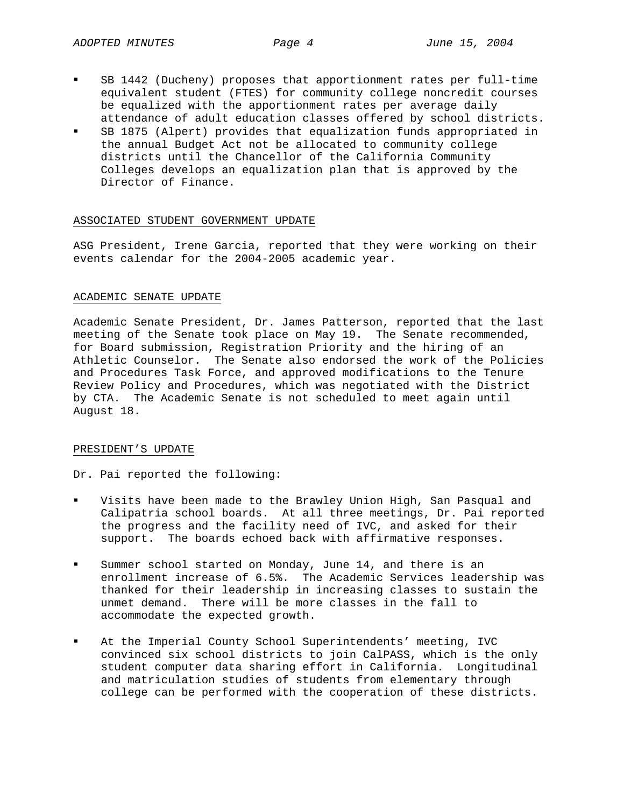- SB 1442 (Ducheny) proposes that apportionment rates per full-time equivalent student (FTES) for community college noncredit courses be equalized with the apportionment rates per average daily attendance of adult education classes offered by school districts.
- SB 1875 (Alpert) provides that equalization funds appropriated in the annual Budget Act not be allocated to community college districts until the Chancellor of the California Community Colleges develops an equalization plan that is approved by the Director of Finance.

## ASSOCIATED STUDENT GOVERNMENT UPDATE

ASG President, Irene Garcia, reported that they were working on their events calendar for the 2004-2005 academic year.

## ACADEMIC SENATE UPDATE

Academic Senate President, Dr. James Patterson, reported that the last meeting of the Senate took place on May 19. The Senate recommended, for Board submission, Registration Priority and the hiring of an Athletic Counselor. The Senate also endorsed the work of the Policies and Procedures Task Force, and approved modifications to the Tenure Review Policy and Procedures, which was negotiated with the District by CTA. The Academic Senate is not scheduled to meet again until August 18.

#### PRESIDENT'S UPDATE

Dr. Pai reported the following:

- Visits have been made to the Brawley Union High, San Pasqual and Calipatria school boards. At all three meetings, Dr. Pai reported the progress and the facility need of IVC, and asked for their support. The boards echoed back with affirmative responses.
- Summer school started on Monday, June 14, and there is an enrollment increase of 6.5%. The Academic Services leadership was thanked for their leadership in increasing classes to sustain the unmet demand. There will be more classes in the fall to accommodate the expected growth.
- At the Imperial County School Superintendents' meeting, IVC convinced six school districts to join CalPASS, which is the only student computer data sharing effort in California. Longitudinal and matriculation studies of students from elementary through college can be performed with the cooperation of these districts.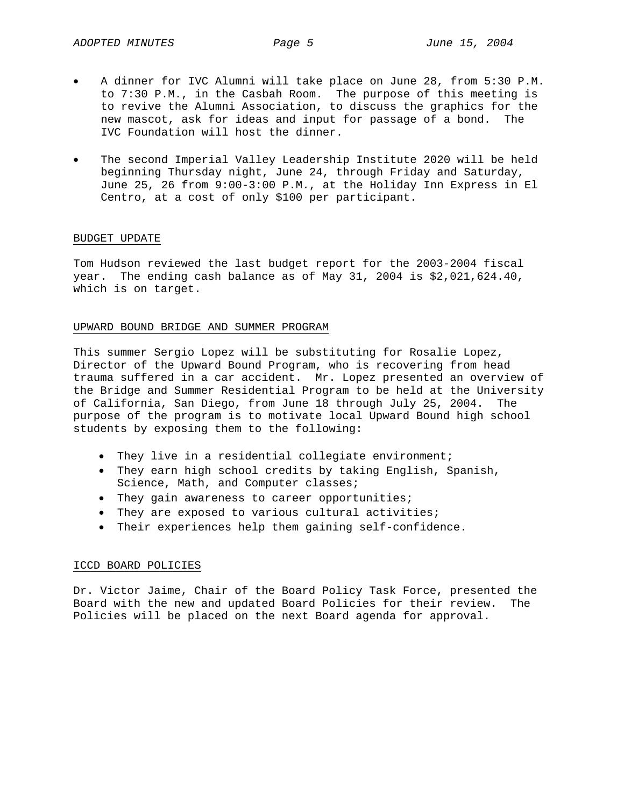- A dinner for IVC Alumni will take place on June 28, from 5:30 P.M. to 7:30 P.M., in the Casbah Room. The purpose of this meeting is to revive the Alumni Association, to discuss the graphics for the new mascot, ask for ideas and input for passage of a bond. The IVC Foundation will host the dinner.
- The second Imperial Valley Leadership Institute 2020 will be held beginning Thursday night, June 24, through Friday and Saturday, June 25, 26 from 9:00-3:00 P.M., at the Holiday Inn Express in El Centro, at a cost of only \$100 per participant.

### BUDGET UPDATE

Tom Hudson reviewed the last budget report for the 2003-2004 fiscal year. The ending cash balance as of May 31, 2004 is \$2,021,624.40, which is on target.

#### UPWARD BOUND BRIDGE AND SUMMER PROGRAM

This summer Sergio Lopez will be substituting for Rosalie Lopez, Director of the Upward Bound Program, who is recovering from head trauma suffered in a car accident. Mr. Lopez presented an overview of the Bridge and Summer Residential Program to be held at the University of California, San Diego, from June 18 through July 25, 2004. The purpose of the program is to motivate local Upward Bound high school students by exposing them to the following:

- They live in a residential collegiate environment;
- They earn high school credits by taking English, Spanish, Science, Math, and Computer classes;
- They gain awareness to career opportunities;
- They are exposed to various cultural activities;
- Their experiences help them gaining self-confidence.

#### ICCD BOARD POLICIES

Dr. Victor Jaime, Chair of the Board Policy Task Force, presented the Board with the new and updated Board Policies for their review. The Policies will be placed on the next Board agenda for approval.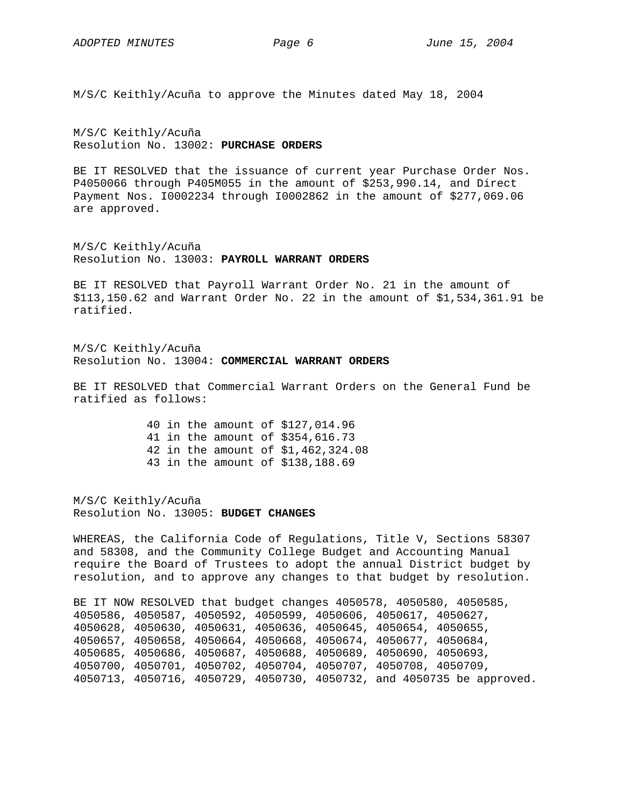M/S/C Keithly/Acuña to approve the Minutes dated May 18, 2004

M/S/C Keithly/Acuña Resolution No. 13002: **PURCHASE ORDERS**

BE IT RESOLVED that the issuance of current year Purchase Order Nos. P4050066 through P405M055 in the amount of \$253,990.14, and Direct Payment Nos. I0002234 through I0002862 in the amount of \$277,069.06 are approved.

M/S/C Keithly/Acuña Resolution No. 13003: **PAYROLL WARRANT ORDERS**

BE IT RESOLVED that Payroll Warrant Order No. 21 in the amount of \$113,150.62 and Warrant Order No. 22 in the amount of \$1,534,361.91 be ratified.

M/S/C Keithly/Acuña Resolution No. 13004: **COMMERCIAL WARRANT ORDERS**

BE IT RESOLVED that Commercial Warrant Orders on the General Fund be ratified as follows:

> 40 in the amount of \$127,014.96 41 in the amount of \$354,616.73 42 in the amount of \$1,462,324.08 43 in the amount of \$138,188.69

M/S/C Keithly/Acuña Resolution No. 13005: **BUDGET CHANGES**

WHEREAS, the California Code of Regulations, Title V, Sections 58307 and 58308, and the Community College Budget and Accounting Manual require the Board of Trustees to adopt the annual District budget by resolution, and to approve any changes to that budget by resolution.

BE IT NOW RESOLVED that budget changes 4050578, 4050580, 4050585, 4050586, 4050587, 4050592, 4050599, 4050606, 4050617, 4050627, 4050628, 4050630, 4050631, 4050636, 4050645, 4050654, 4050655, 4050657, 4050658, 4050664, 4050668, 4050674, 4050677, 4050684, 4050685, 4050686, 4050687, 4050688, 4050689, 4050690, 4050693, 4050700, 4050701, 4050702, 4050704, 4050707, 4050708, 4050709, 4050713, 4050716, 4050729, 4050730, 4050732, and 4050735 be approved.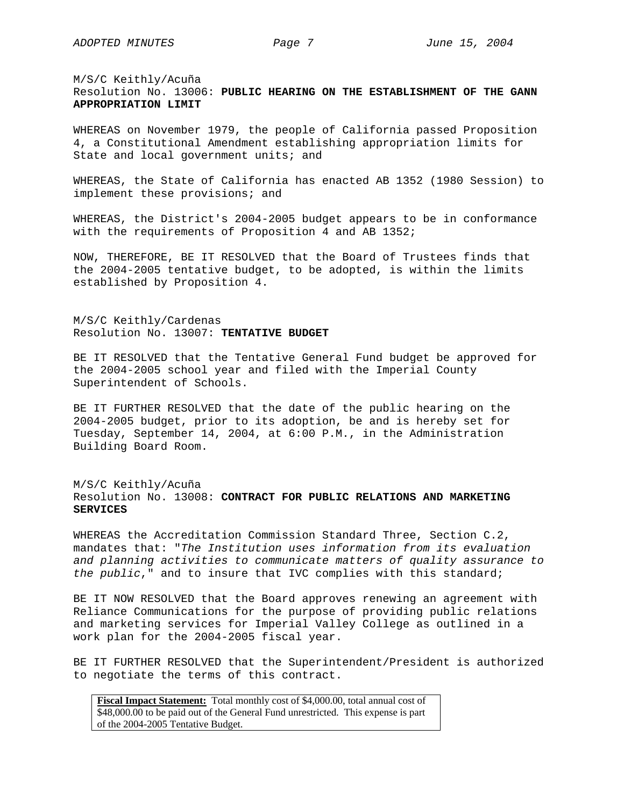M/S/C Keithly/Acuña Resolution No. 13006: **PUBLIC HEARING ON THE ESTABLISHMENT OF THE GANN APPROPRIATION LIMIT** 

WHEREAS on November 1979, the people of California passed Proposition 4, a Constitutional Amendment establishing appropriation limits for State and local government units; and

WHEREAS, the State of California has enacted AB 1352 (1980 Session) to implement these provisions; and

WHEREAS, the District's 2004-2005 budget appears to be in conformance with the requirements of Proposition 4 and AB 1352;

NOW, THEREFORE, BE IT RESOLVED that the Board of Trustees finds that the 2004-2005 tentative budget, to be adopted, is within the limits established by Proposition 4.

M/S/C Keithly/Cardenas Resolution No. 13007: **TENTATIVE BUDGET** 

BE IT RESOLVED that the Tentative General Fund budget be approved for the 2004-2005 school year and filed with the Imperial County Superintendent of Schools.

BE IT FURTHER RESOLVED that the date of the public hearing on the 2004-2005 budget, prior to its adoption, be and is hereby set for Tuesday, September 14, 2004, at 6:00 P.M., in the Administration Building Board Room.

# M/S/C Keithly/Acuña Resolution No. 13008: **CONTRACT FOR PUBLIC RELATIONS AND MARKETING SERVICES**

WHEREAS the Accreditation Commission Standard Three, Section C.2, mandates that: "*The Institution uses information from its evaluation and planning activities to communicate matters of quality assurance to the public*," and to insure that IVC complies with this standard;

BE IT NOW RESOLVED that the Board approves renewing an agreement with Reliance Communications for the purpose of providing public relations and marketing services for Imperial Valley College as outlined in a work plan for the 2004-2005 fiscal year.

BE IT FURTHER RESOLVED that the Superintendent/President is authorized to negotiate the terms of this contract.

**Fiscal Impact Statement:** Total monthly cost of \$4,000.00, total annual cost of \$48,000.00 to be paid out of the General Fund unrestricted. This expense is part of the 2004-2005 Tentative Budget.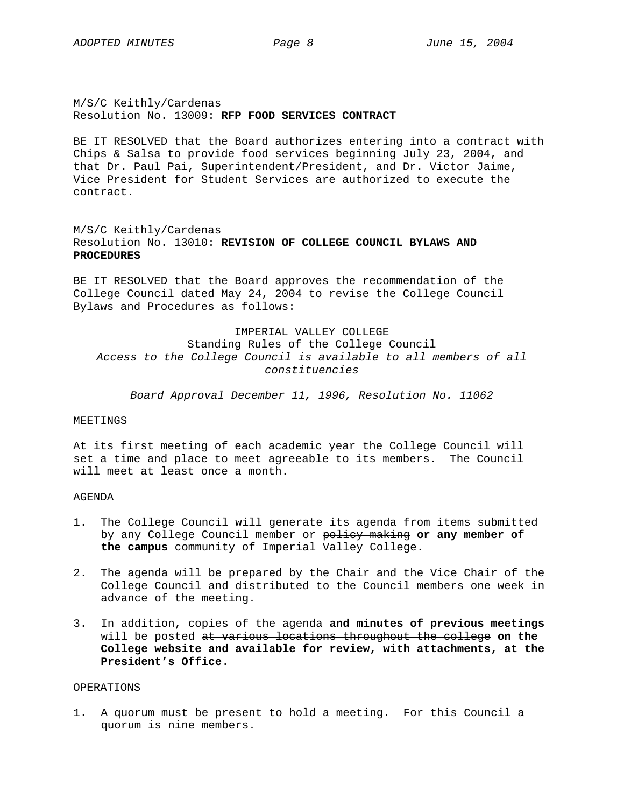# M/S/C Keithly/Cardenas Resolution No. 13009: **RFP FOOD SERVICES CONTRACT**

BE IT RESOLVED that the Board authorizes entering into a contract with Chips & Salsa to provide food services beginning July 23, 2004, and that Dr. Paul Pai, Superintendent/President, and Dr. Victor Jaime, Vice President for Student Services are authorized to execute the contract.

M/S/C Keithly/Cardenas Resolution No. 13010: **REVISION OF COLLEGE COUNCIL BYLAWS AND PROCEDURES** 

BE IT RESOLVED that the Board approves the recommendation of the College Council dated May 24, 2004 to revise the College Council Bylaws and Procedures as follows:

IMPERIAL VALLEY COLLEGE Standing Rules of the College Council *Access to the College Council is available to all members of all constituencies* 

*Board Approval December 11, 1996, Resolution No. 11062* 

## MEETINGS

At its first meeting of each academic year the College Council will set a time and place to meet agreeable to its members. The Council will meet at least once a month.

#### AGENDA

- 1. The College Council will generate its agenda from items submitted by any College Council member or policy making **or any member of the campus** community of Imperial Valley College.
- 2. The agenda will be prepared by the Chair and the Vice Chair of the College Council and distributed to the Council members one week in advance of the meeting.
- 3. In addition, copies of the agenda **and minutes of previous meetings** will be posted at various locations throughout the college **on the College website and available for review, with attachments, at the President's Office**.

### OPERATIONS

1. A quorum must be present to hold a meeting. For this Council a quorum is nine members.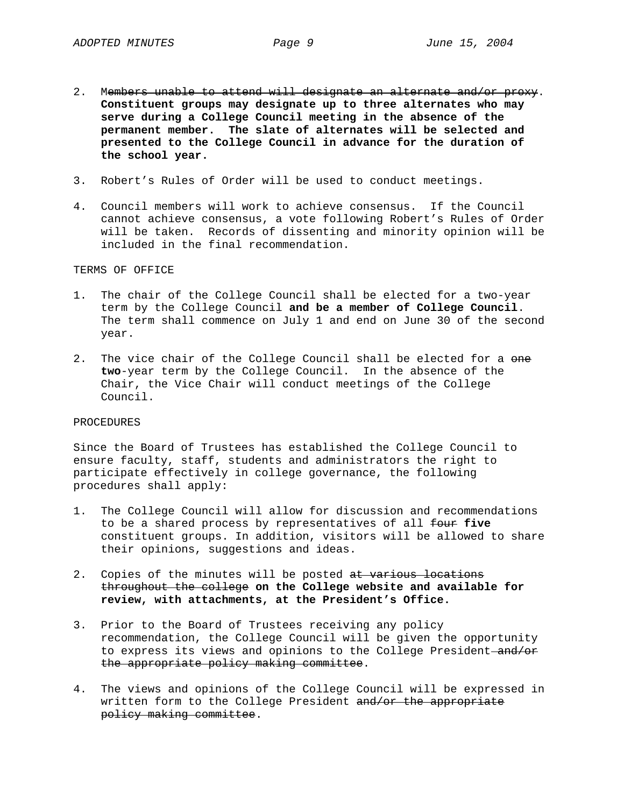- 2. Members unable to attend will designate an alternate and/or proxy. **Constituent groups may designate up to three alternates who may serve during a College Council meeting in the absence of the permanent member. The slate of alternates will be selected and presented to the College Council in advance for the duration of the school year.**
- 3. Robert's Rules of Order will be used to conduct meetings.
- 4. Council members will work to achieve consensus. If the Council cannot achieve consensus, a vote following Robert's Rules of Order will be taken. Records of dissenting and minority opinion will be included in the final recommendation.

### TERMS OF OFFICE

- 1. The chair of the College Council shall be elected for a two-year term by the College Council **and be a member of College Council**. The term shall commence on July 1 and end on June 30 of the second year.
- 2. The vice chair of the College Council shall be elected for a one **two**-year term by the College Council. In the absence of the Chair, the Vice Chair will conduct meetings of the College Council.

#### PROCEDURES

Since the Board of Trustees has established the College Council to ensure faculty, staff, students and administrators the right to participate effectively in college governance, the following procedures shall apply:

- 1. The College Council will allow for discussion and recommendations to be a shared process by representatives of all four **five**  constituent groups. In addition, visitors will be allowed to share their opinions, suggestions and ideas.
- 2. Copies of the minutes will be posted at various locations throughout the college **on the College website and available for review, with attachments, at the President's Office.**
- 3. Prior to the Board of Trustees receiving any policy recommendation, the College Council will be given the opportunity to express its views and opinions to the College President-and/or the appropriate policy making committee.
- 4. The views and opinions of the College Council will be expressed in written form to the College President and/or the appropriate policy making committee.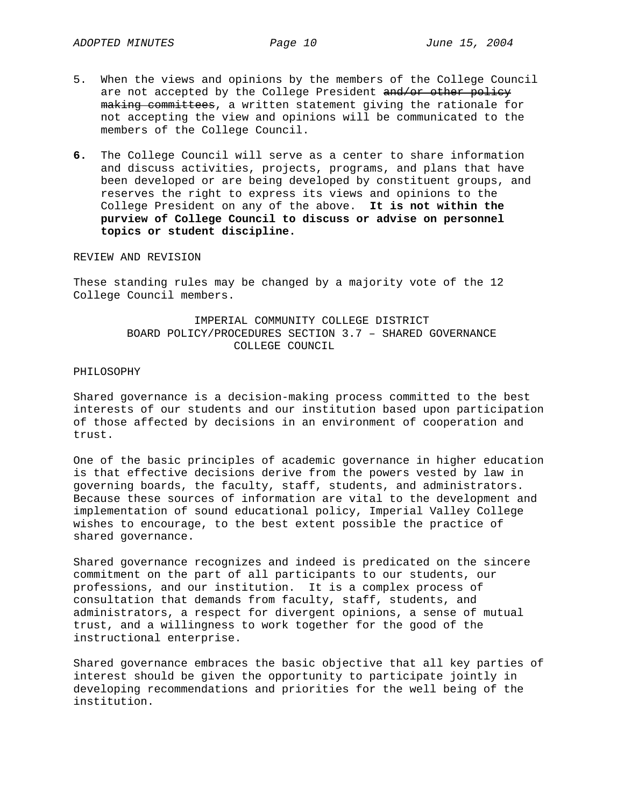- 5. When the views and opinions by the members of the College Council are not accepted by the College President and/or other policy making committees, a written statement giving the rationale for not accepting the view and opinions will be communicated to the members of the College Council.
- **6.** The College Council will serve as a center to share information and discuss activities, projects, programs, and plans that have been developed or are being developed by constituent groups, and reserves the right to express its views and opinions to the College President on any of the above. **It is not within the purview of College Council to discuss or advise on personnel topics or student discipline.**

REVIEW AND REVISION

These standing rules may be changed by a majority vote of the 12 College Council members.

> IMPERIAL COMMUNITY COLLEGE DISTRICT BOARD POLICY/PROCEDURES SECTION 3.7 – SHARED GOVERNANCE COLLEGE COUNCIL

## PHILOSOPHY

Shared governance is a decision-making process committed to the best interests of our students and our institution based upon participation of those affected by decisions in an environment of cooperation and trust.

One of the basic principles of academic governance in higher education is that effective decisions derive from the powers vested by law in governing boards, the faculty, staff, students, and administrators. Because these sources of information are vital to the development and implementation of sound educational policy, Imperial Valley College wishes to encourage, to the best extent possible the practice of shared governance.

Shared governance recognizes and indeed is predicated on the sincere commitment on the part of all participants to our students, our professions, and our institution. It is a complex process of consultation that demands from faculty, staff, students, and administrators, a respect for divergent opinions, a sense of mutual trust, and a willingness to work together for the good of the instructional enterprise.

Shared governance embraces the basic objective that all key parties of interest should be given the opportunity to participate jointly in developing recommendations and priorities for the well being of the institution.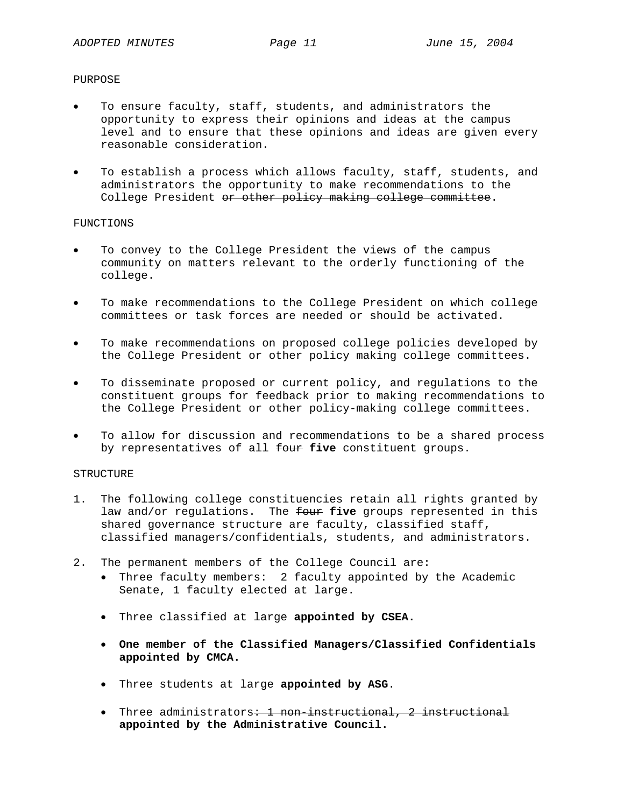## PURPOSE

- To ensure faculty, staff, students, and administrators the opportunity to express their opinions and ideas at the campus level and to ensure that these opinions and ideas are given every reasonable consideration.
- To establish a process which allows faculty, staff, students, and administrators the opportunity to make recommendations to the College President or other policy making college committee.

## FUNCTIONS

- To convey to the College President the views of the campus community on matters relevant to the orderly functioning of the college.
- To make recommendations to the College President on which college committees or task forces are needed or should be activated.
- To make recommendations on proposed college policies developed by the College President or other policy making college committees.
- To disseminate proposed or current policy, and regulations to the constituent groups for feedback prior to making recommendations to the College President or other policy-making college committees.
- To allow for discussion and recommendations to be a shared process by representatives of all four **five** constituent groups.

# STRUCTURE

- 1. The following college constituencies retain all rights granted by law and/or regulations. The four five groups represented in this shared governance structure are faculty, classified staff, classified managers/confidentials, students, and administrators.
- 2. The permanent members of the College Council are:
	- Three faculty members: 2 faculty appointed by the Academic Senate, 1 faculty elected at large.
	- Three classified at large **appointed by CSEA.**
	- **One member of the Classified Managers/Classified Confidentials appointed by CMCA.**
	- Three students at large **appointed by ASG**.
	- Three administrators: 1 non-instructional, 2 instructional **appointed by the Administrative Council.**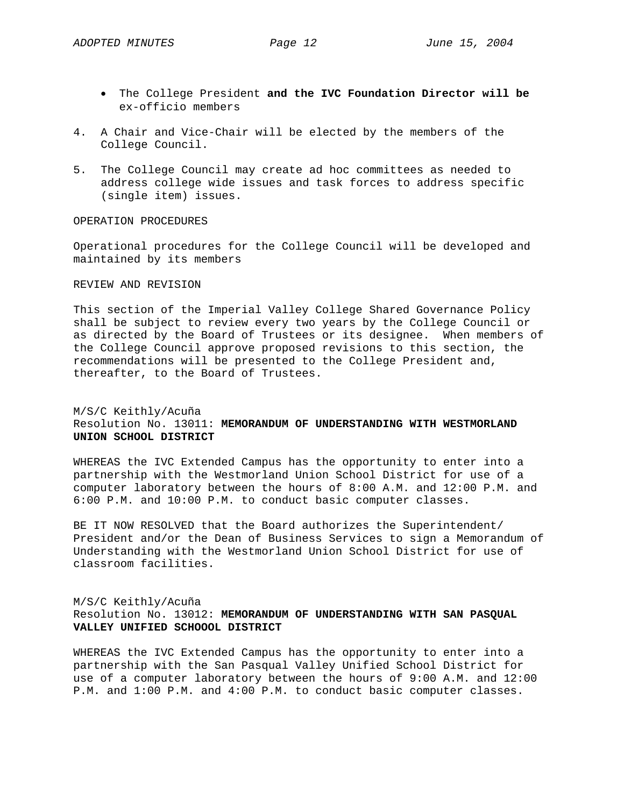- The College President **and the IVC Foundation Director will be**  ex-officio members
- 4. A Chair and Vice-Chair will be elected by the members of the College Council.
- 5. The College Council may create ad hoc committees as needed to address college wide issues and task forces to address specific (single item) issues.

#### OPERATION PROCEDURES

Operational procedures for the College Council will be developed and maintained by its members

#### REVIEW AND REVISION

This section of the Imperial Valley College Shared Governance Policy shall be subject to review every two years by the College Council or as directed by the Board of Trustees or its designee. When members of the College Council approve proposed revisions to this section, the recommendations will be presented to the College President and, thereafter, to the Board of Trustees.

## M/S/C Keithly/Acuña Resolution No. 13011: **MEMORANDUM OF UNDERSTANDING WITH WESTMORLAND UNION SCHOOL DISTRICT**

WHEREAS the IVC Extended Campus has the opportunity to enter into a partnership with the Westmorland Union School District for use of a computer laboratory between the hours of 8:00 A.M. and 12:00 P.M. and 6:00 P.M. and 10:00 P.M. to conduct basic computer classes.

BE IT NOW RESOLVED that the Board authorizes the Superintendent/ President and/or the Dean of Business Services to sign a Memorandum of Understanding with the Westmorland Union School District for use of classroom facilities.

# M/S/C Keithly/Acuña Resolution No. 13012: **MEMORANDUM OF UNDERSTANDING WITH SAN PASQUAL VALLEY UNIFIED SCHOOOL DISTRICT**

WHEREAS the IVC Extended Campus has the opportunity to enter into a partnership with the San Pasqual Valley Unified School District for use of a computer laboratory between the hours of 9:00 A.M. and 12:00 P.M. and 1:00 P.M. and 4:00 P.M. to conduct basic computer classes.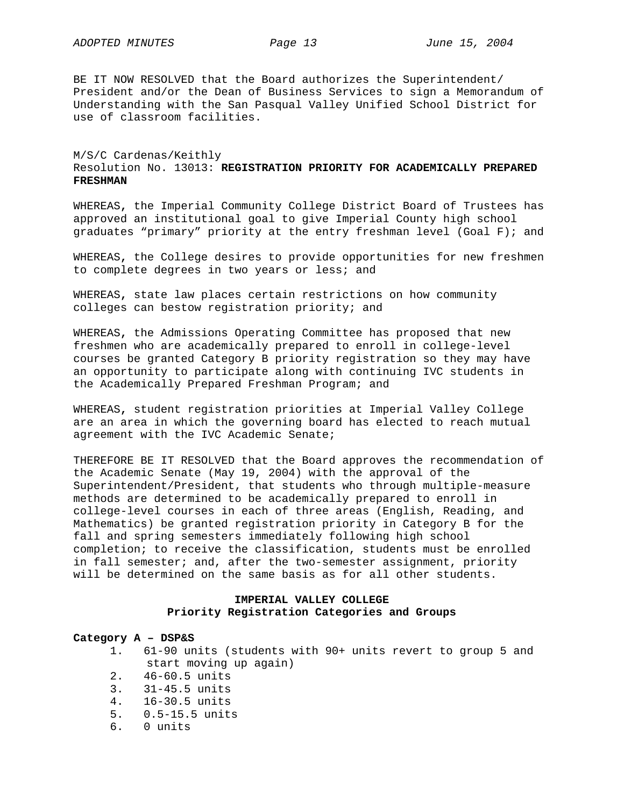BE IT NOW RESOLVED that the Board authorizes the Superintendent/ President and/or the Dean of Business Services to sign a Memorandum of Understanding with the San Pasqual Valley Unified School District for use of classroom facilities.

## M/S/C Cardenas/Keithly Resolution No. 13013: **REGISTRATION PRIORITY FOR ACADEMICALLY PREPARED FRESHMAN**

WHEREAS**,** the Imperial Community College District Board of Trustees has approved an institutional goal to give Imperial County high school graduates "primary" priority at the entry freshman level (Goal F); and

WHEREAS**,** the College desires to provide opportunities for new freshmen to complete degrees in two years or less; and

WHEREAS**,** state law places certain restrictions on how community colleges can bestow registration priority; and

WHEREAS**,** the Admissions Operating Committee has proposed that new freshmen who are academically prepared to enroll in college-level courses be granted Category B priority registration so they may have an opportunity to participate along with continuing IVC students in the Academically Prepared Freshman Program; and

WHEREAS**,** student registration priorities at Imperial Valley College are an area in which the governing board has elected to reach mutual agreement with the IVC Academic Senate;

THEREFORE BE IT RESOLVED that the Board approves the recommendation of the Academic Senate (May 19, 2004) with the approval of the Superintendent/President, that students who through multiple-measure methods are determined to be academically prepared to enroll in college-level courses in each of three areas (English, Reading, and Mathematics) be granted registration priority in Category B for the fall and spring semesters immediately following high school completion; to receive the classification, students must be enrolled in fall semester; and, after the two-semester assignment, priority will be determined on the same basis as for all other students.

## **IMPERIAL VALLEY COLLEGE Priority Registration Categories and Groups**

#### **Category A – DSP&S**

- 1. 61-90 units (students with 90+ units revert to group 5 and start moving up again)
- 2. 46-60.5 units
- 3. 31-45.5 units
- 4. 16-30.5 units
- 5. 0.5-15.5 units
- 6. 0 units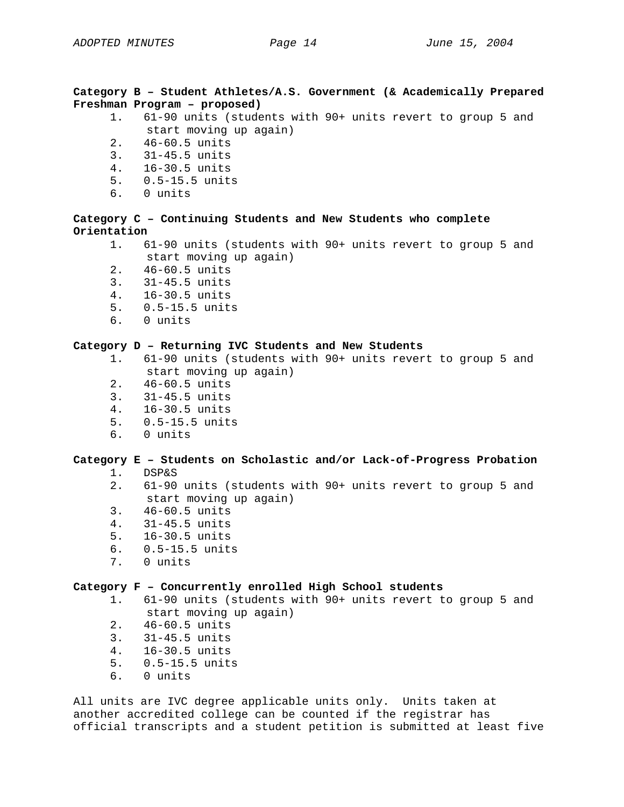**Category B – Student Athletes/A.S. Government (& Academically Prepared Freshman Program – proposed)** 

- 1. 61-90 units (students with 90+ units revert to group 5 and start moving up again)
- 2. 46-60.5 units
- 3. 31-45.5 units
- 4. 16-30.5 units
- 5. 0.5-15.5 units
- 6. 0 units

**Category C – Continuing Students and New Students who complete Orientation** 

- 1. 61-90 units (students with 90+ units revert to group 5 and start moving up again)
- 2. 46-60.5 units
- 3. 31-45.5 units
- 4. 16-30.5 units
- 5. 0.5-15.5 units
- 6. 0 units

# **Category D – Returning IVC Students and New Students**

- 1. 61-90 units (students with 90+ units revert to group 5 and start moving up again)
- 2. 46-60.5 units
- 3. 31-45.5 units
- 4. 16-30.5 units
- 5. 0.5-15.5 units
- 6. 0 units

# **Category E – Students on Scholastic and/or Lack-of-Progress Probation**

- 1. DSP&S
- 2. 61-90 units (students with 90+ units revert to group 5 and start moving up again)
- 3. 46-60.5 units
- 4. 31-45.5 units
- 5. 16-30.5 units
- 6. 0.5-15.5 units
- 7. 0 units

## **Category F – Concurrently enrolled High School students**

- 1. 61-90 units (students with 90+ units revert to group 5 and start moving up again)
- 2. 46-60.5 units
- 3. 31-45.5 units
- 4. 16-30.5 units
- 5. 0.5-15.5 units
- 6. 0 units

All units are IVC degree applicable units only. Units taken at another accredited college can be counted if the registrar has official transcripts and a student petition is submitted at least five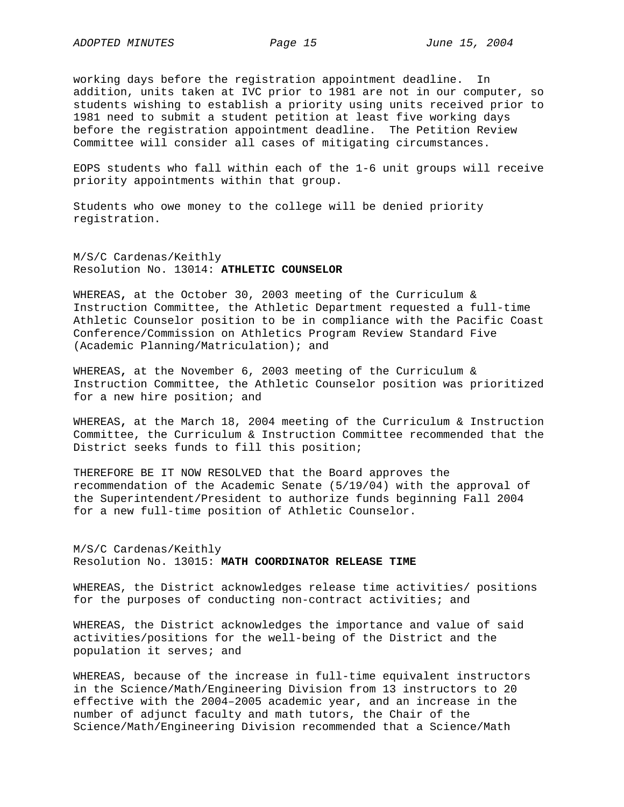working days before the registration appointment deadline. In addition, units taken at IVC prior to 1981 are not in our computer, so students wishing to establish a priority using units received prior to 1981 need to submit a student petition at least five working days before the registration appointment deadline. The Petition Review Committee will consider all cases of mitigating circumstances.

EOPS students who fall within each of the 1-6 unit groups will receive priority appointments within that group.

Students who owe money to the college will be denied priority registration.

M/S/C Cardenas/Keithly Resolution No. 13014: **ATHLETIC COUNSELOR**

WHEREAS**,** at the October 30, 2003 meeting of the Curriculum & Instruction Committee, the Athletic Department requested a full-time Athletic Counselor position to be in compliance with the Pacific Coast Conference/Commission on Athletics Program Review Standard Five (Academic Planning/Matriculation); and

WHEREAS**,** at the November 6, 2003 meeting of the Curriculum & Instruction Committee, the Athletic Counselor position was prioritized for a new hire position; and

WHEREAS**,** at the March 18, 2004 meeting of the Curriculum & Instruction Committee, the Curriculum & Instruction Committee recommended that the District seeks funds to fill this position;

THEREFORE BE IT NOW RESOLVED that the Board approves the recommendation of the Academic Senate (5/19/04) with the approval of the Superintendent/President to authorize funds beginning Fall 2004 for a new full-time position of Athletic Counselor.

M/S/C Cardenas/Keithly Resolution No. 13015: **MATH COORDINATOR RELEASE TIME**

WHEREAS, the District acknowledges release time activities/ positions for the purposes of conducting non-contract activities; and

WHEREAS, the District acknowledges the importance and value of said activities/positions for the well-being of the District and the population it serves; and

WHEREAS, because of the increase in full-time equivalent instructors in the Science/Math/Engineering Division from 13 instructors to 20 effective with the 2004–2005 academic year, and an increase in the number of adjunct faculty and math tutors, the Chair of the Science/Math/Engineering Division recommended that a Science/Math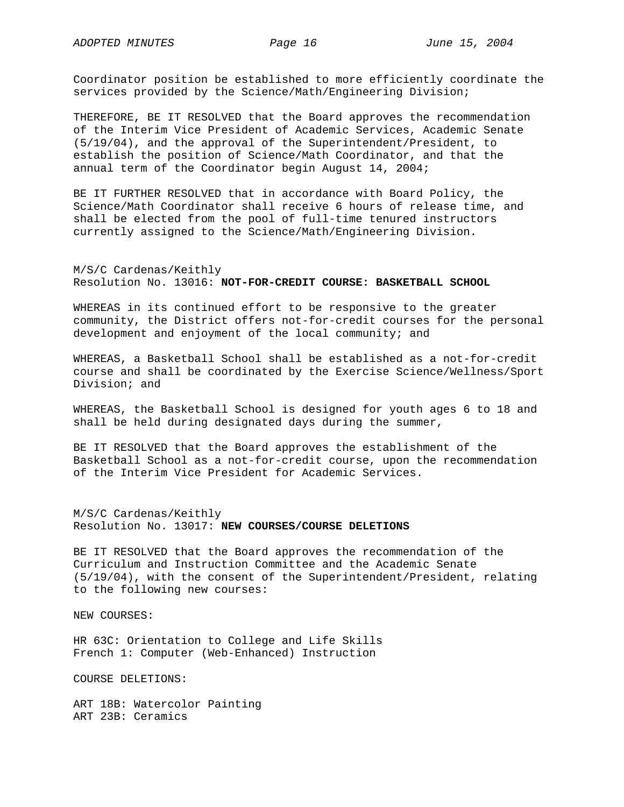Coordinator position be established to more efficiently coordinate the services provided by the Science/Math/Engineering Division;

THEREFORE, BE IT RESOLVED that the Board approves the recommendation of the Interim Vice President of Academic Services, Academic Senate (5/19/04), and the approval of the Superintendent/President, to establish the position of Science/Math Coordinator, and that the annual term of the Coordinator begin August 14, 2004;

BE IT FURTHER RESOLVED that in accordance with Board Policy, the Science/Math Coordinator shall receive 6 hours of release time, and shall be elected from the pool of full-time tenured instructors currently assigned to the Science/Math/Engineering Division.

M/S/C Cardenas/Keithly Resolution No. 13016: **NOT-FOR-CREDIT COURSE: BASKETBALL SCHOOL**

WHEREAS in its continued effort to be responsive to the greater community, the District offers not-for-credit courses for the personal development and enjoyment of the local community; and

WHEREAS, a Basketball School shall be established as a not-for-credit course and shall be coordinated by the Exercise Science/Wellness/Sport Division; and

WHEREAS, the Basketball School is designed for youth ages 6 to 18 and shall be held during designated days during the summer,

BE IT RESOLVED that the Board approves the establishment of the Basketball School as a not-for-credit course, upon the recommendation of the Interim Vice President for Academic Services.

M/S/C Cardenas/Keithly Resolution No. 13017: **NEW COURSES/COURSE DELETIONS**

BE IT RESOLVED that the Board approves the recommendation of the Curriculum and Instruction Committee and the Academic Senate (5/19/04), with the consent of the Superintendent/President, relating to the following new courses:

NEW COURSES:

HR 63C: Orientation to College and Life Skills French 1: Computer (Web-Enhanced) Instruction

COURSE DELETIONS:

ART 18B: Watercolor Painting ART 23B: Ceramics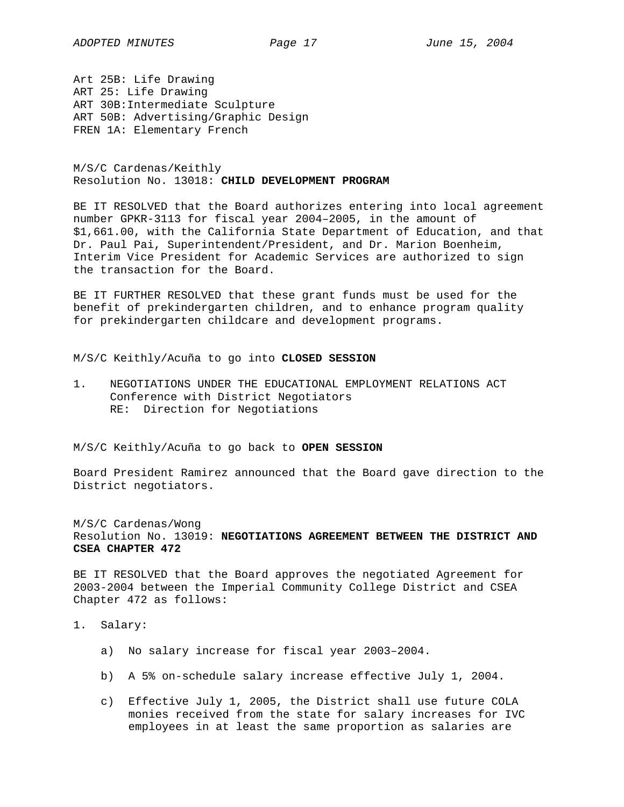Art 25B: Life Drawing ART 25: Life Drawing ART 30B:Intermediate Sculpture ART 50B: Advertising/Graphic Design FREN 1A: Elementary French

M/S/C Cardenas/Keithly Resolution No. 13018: **CHILD DEVELOPMENT PROGRAM**

BE IT RESOLVED that the Board authorizes entering into local agreement number GPKR-3113 for fiscal year 2004–2005, in the amount of \$1,661.00, with the California State Department of Education, and that Dr. Paul Pai, Superintendent/President, and Dr. Marion Boenheim, Interim Vice President for Academic Services are authorized to sign the transaction for the Board.

BE IT FURTHER RESOLVED that these grant funds must be used for the benefit of prekindergarten children, and to enhance program quality for prekindergarten childcare and development programs.

M/S/C Keithly/Acuña to go into **CLOSED SESSION**

1. NEGOTIATIONS UNDER THE EDUCATIONAL EMPLOYMENT RELATIONS ACT Conference with District Negotiators RE: Direction for Negotiations

M/S/C Keithly/Acuña to go back to **OPEN SESSION**

Board President Ramirez announced that the Board gave direction to the District negotiators.

M/S/C Cardenas/Wong Resolution No. 13019: **NEGOTIATIONS AGREEMENT BETWEEN THE DISTRICT AND CSEA CHAPTER 472**

BE IT RESOLVED that the Board approves the negotiated Agreement for 2003-2004 between the Imperial Community College District and CSEA Chapter 472 as follows:

1. Salary:

- a) No salary increase for fiscal year 2003–2004.
- b) A 5% on-schedule salary increase effective July 1, 2004.
- c) Effective July 1, 2005, the District shall use future COLA monies received from the state for salary increases for IVC employees in at least the same proportion as salaries are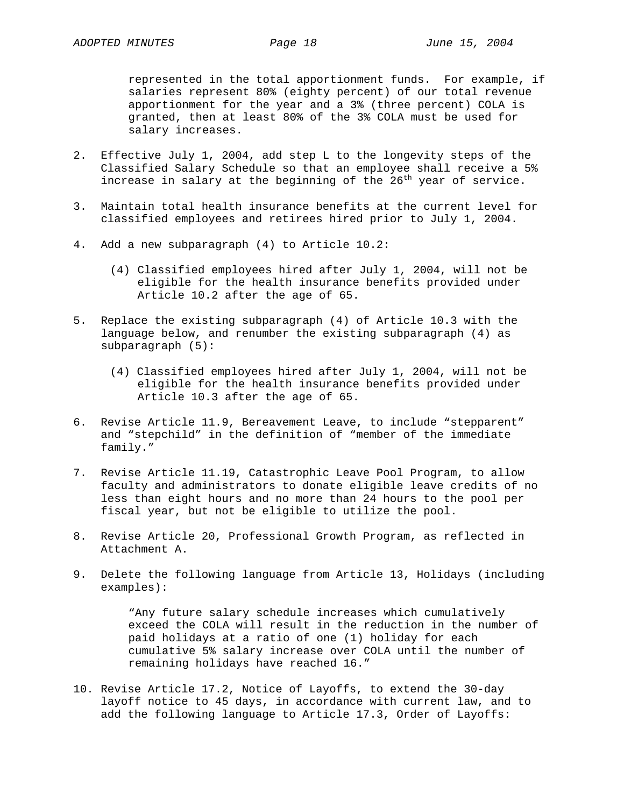represented in the total apportionment funds. For example, if salaries represent 80% (eighty percent) of our total revenue apportionment for the year and a 3% (three percent) COLA is granted, then at least 80% of the 3% COLA must be used for salary increases.

- 2. Effective July 1, 2004, add step L to the longevity steps of the Classified Salary Schedule so that an employee shall receive a 5% increase in salary at the beginning of the  $26<sup>th</sup>$  year of service.
- 3. Maintain total health insurance benefits at the current level for classified employees and retirees hired prior to July 1, 2004.
- 4. Add a new subparagraph (4) to Article 10.2:
	- (4) Classified employees hired after July 1, 2004, will not be eligible for the health insurance benefits provided under Article 10.2 after the age of 65.
- 5. Replace the existing subparagraph (4) of Article 10.3 with the language below, and renumber the existing subparagraph (4) as subparagraph (5):
	- (4) Classified employees hired after July 1, 2004, will not be eligible for the health insurance benefits provided under Article 10.3 after the age of 65.
- 6. Revise Article 11.9, Bereavement Leave, to include "stepparent" and "stepchild" in the definition of "member of the immediate family."
- 7. Revise Article 11.19, Catastrophic Leave Pool Program, to allow faculty and administrators to donate eligible leave credits of no less than eight hours and no more than 24 hours to the pool per fiscal year, but not be eligible to utilize the pool.
- 8. Revise Article 20, Professional Growth Program, as reflected in Attachment A.
- 9. Delete the following language from Article 13, Holidays (including examples):

"Any future salary schedule increases which cumulatively exceed the COLA will result in the reduction in the number of paid holidays at a ratio of one (1) holiday for each cumulative 5% salary increase over COLA until the number of remaining holidays have reached 16."

10. Revise Article 17.2, Notice of Layoffs, to extend the 30-day layoff notice to 45 days, in accordance with current law, and to add the following language to Article 17.3, Order of Layoffs: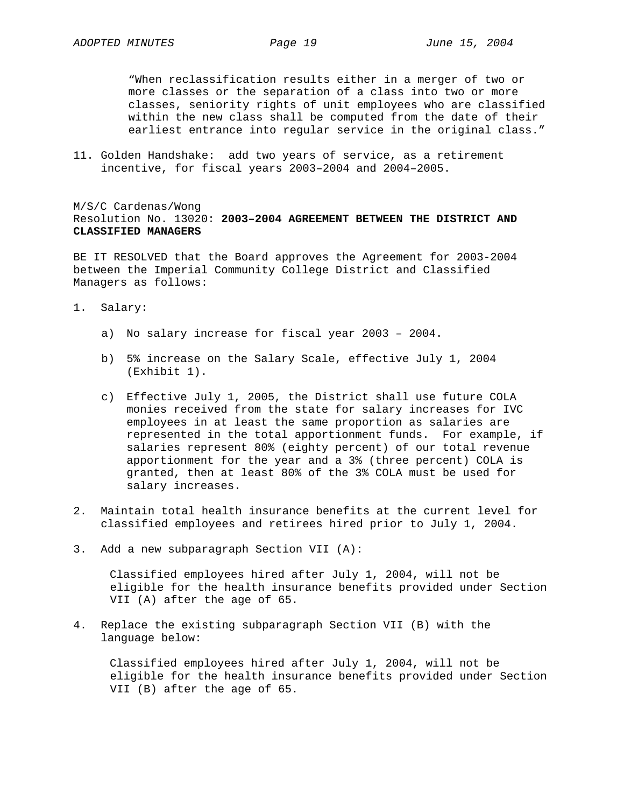"When reclassification results either in a merger of two or more classes or the separation of a class into two or more classes, seniority rights of unit employees who are classified within the new class shall be computed from the date of their earliest entrance into regular service in the original class."

11. Golden Handshake: add two years of service, as a retirement incentive, for fiscal years 2003–2004 and 2004–2005.

M/S/C Cardenas/Wong Resolution No. 13020: **2003–2004 AGREEMENT BETWEEN THE DISTRICT AND CLASSIFIED MANAGERS**

BE IT RESOLVED that the Board approves the Agreement for 2003-2004 between the Imperial Community College District and Classified Managers as follows:

- 1. Salary:
	- a) No salary increase for fiscal year 2003 2004.
	- b) 5% increase on the Salary Scale, effective July 1, 2004 (Exhibit 1).
	- c) Effective July 1, 2005, the District shall use future COLA monies received from the state for salary increases for IVC employees in at least the same proportion as salaries are represented in the total apportionment funds. For example, if salaries represent 80% (eighty percent) of our total revenue apportionment for the year and a 3% (three percent) COLA is granted, then at least 80% of the 3% COLA must be used for salary increases.
- 2. Maintain total health insurance benefits at the current level for classified employees and retirees hired prior to July 1, 2004.
- 3. Add a new subparagraph Section VII (A):

Classified employees hired after July 1, 2004, will not be eligible for the health insurance benefits provided under Section VII (A) after the age of 65.

4. Replace the existing subparagraph Section VII (B) with the language below:

Classified employees hired after July 1, 2004, will not be eligible for the health insurance benefits provided under Section VII (B) after the age of 65.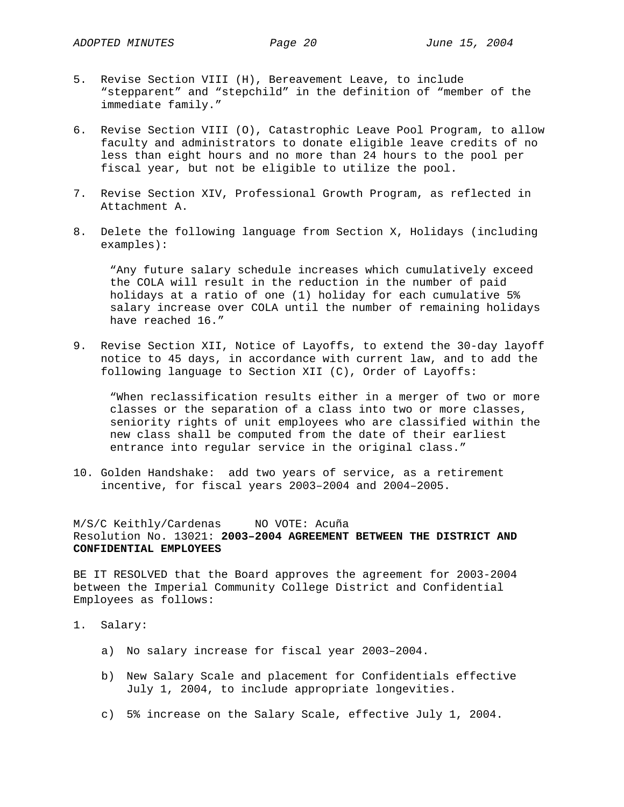- 5. Revise Section VIII (H), Bereavement Leave, to include "stepparent" and "stepchild" in the definition of "member of the immediate family."
- 6. Revise Section VIII (O), Catastrophic Leave Pool Program, to allow faculty and administrators to donate eligible leave credits of no less than eight hours and no more than 24 hours to the pool per fiscal year, but not be eligible to utilize the pool.
- 7. Revise Section XIV, Professional Growth Program, as reflected in Attachment A.
- 8. Delete the following language from Section X, Holidays (including examples):

"Any future salary schedule increases which cumulatively exceed the COLA will result in the reduction in the number of paid holidays at a ratio of one (1) holiday for each cumulative 5% salary increase over COLA until the number of remaining holidays have reached 16."

9. Revise Section XII, Notice of Layoffs, to extend the 30-day layoff notice to 45 days, in accordance with current law, and to add the following language to Section XII (C), Order of Layoffs:

"When reclassification results either in a merger of two or more classes or the separation of a class into two or more classes, seniority rights of unit employees who are classified within the new class shall be computed from the date of their earliest entrance into regular service in the original class."

10. Golden Handshake: add two years of service, as a retirement incentive, for fiscal years 2003–2004 and 2004–2005.

# M/S/C Keithly/Cardenas NO VOTE: Acuña Resolution No. 13021: **2003–2004 AGREEMENT BETWEEN THE DISTRICT AND CONFIDENTIAL EMPLOYEES**

BE IT RESOLVED that the Board approves the agreement for 2003-2004 between the Imperial Community College District and Confidential Employees as follows:

- 1. Salary:
	- a) No salary increase for fiscal year 2003–2004.
	- b) New Salary Scale and placement for Confidentials effective July 1, 2004, to include appropriate longevities.
	- c) 5% increase on the Salary Scale, effective July 1, 2004.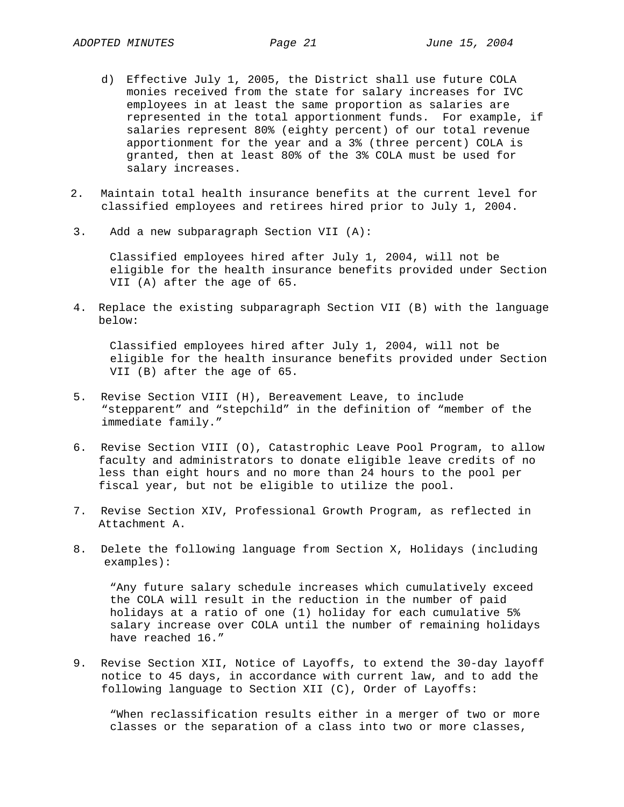- d) Effective July 1, 2005, the District shall use future COLA monies received from the state for salary increases for IVC employees in at least the same proportion as salaries are represented in the total apportionment funds. For example, if salaries represent 80% (eighty percent) of our total revenue apportionment for the year and a 3% (three percent) COLA is granted, then at least 80% of the 3% COLA must be used for salary increases.
- 2. Maintain total health insurance benefits at the current level for classified employees and retirees hired prior to July 1, 2004.
- 3. Add a new subparagraph Section VII (A):

Classified employees hired after July 1, 2004, will not be eligible for the health insurance benefits provided under Section VII (A) after the age of 65.

4. Replace the existing subparagraph Section VII (B) with the language below:

Classified employees hired after July 1, 2004, will not be eligible for the health insurance benefits provided under Section VII (B) after the age of 65.

- 5. Revise Section VIII (H), Bereavement Leave, to include "stepparent" and "stepchild" in the definition of "member of the immediate family."
- 6. Revise Section VIII (O), Catastrophic Leave Pool Program, to allow faculty and administrators to donate eligible leave credits of no less than eight hours and no more than 24 hours to the pool per fiscal year, but not be eligible to utilize the pool.
- 7. Revise Section XIV, Professional Growth Program, as reflected in Attachment A.
- 8. Delete the following language from Section X, Holidays (including examples):

"Any future salary schedule increases which cumulatively exceed the COLA will result in the reduction in the number of paid holidays at a ratio of one (1) holiday for each cumulative 5% salary increase over COLA until the number of remaining holidays have reached 16."

9. Revise Section XII, Notice of Layoffs, to extend the 30-day layoff notice to 45 days, in accordance with current law, and to add the following language to Section XII (C), Order of Layoffs:

"When reclassification results either in a merger of two or more classes or the separation of a class into two or more classes,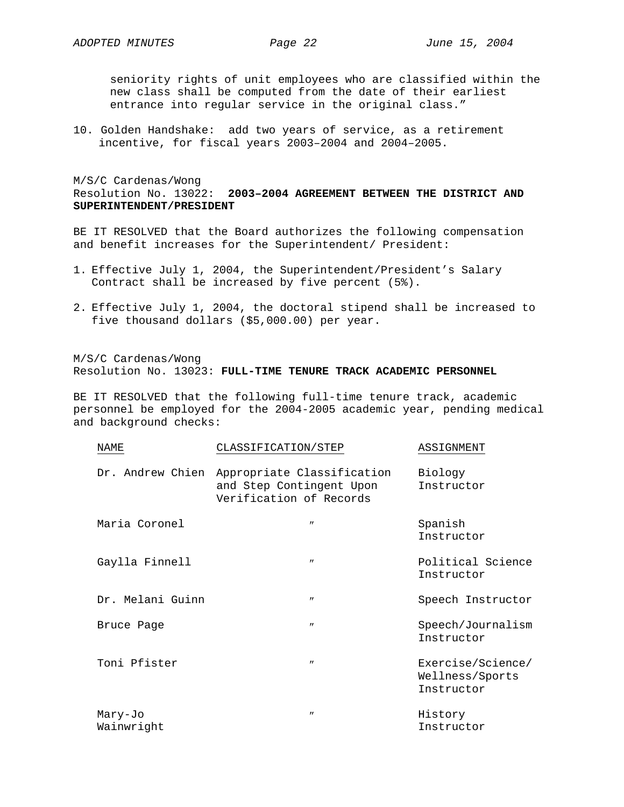seniority rights of unit employees who are classified within the new class shall be computed from the date of their earliest entrance into regular service in the original class."

10. Golden Handshake: add two years of service, as a retirement incentive, for fiscal years 2003–2004 and 2004–2005.

M/S/C Cardenas/Wong Resolution No. 13022: **2003–2004 AGREEMENT BETWEEN THE DISTRICT AND SUPERINTENDENT/PRESIDENT**

BE IT RESOLVED that the Board authorizes the following compensation and benefit increases for the Superintendent/ President:

- 1. Effective July 1, 2004, the Superintendent/President's Salary Contract shall be increased by five percent (5%).
- 2. Effective July 1, 2004, the doctoral stipend shall be increased to five thousand dollars (\$5,000.00) per year.

M/S/C Cardenas/Wong Resolution No. 13023: **FULL-TIME TENURE TRACK ACADEMIC PERSONNEL**

BE IT RESOLVED that the following full-time tenure track, academic personnel be employed for the 2004-2005 academic year, pending medical and background checks:

| <b>NAME</b>           | CLASSIFICATION/STEP                                                               | ASSIGNMENT                                         |
|-----------------------|-----------------------------------------------------------------------------------|----------------------------------------------------|
| Dr. Andrew Chien      | Appropriate Classification<br>and Step Contingent Upon<br>Verification of Records | Biology<br>Instructor                              |
| Maria Coronel         | $^{\prime\prime}$                                                                 | Spanish<br>Instructor                              |
| Gaylla Finnell        | $^{\prime\prime}$                                                                 | Political Science<br>Instructor                    |
| Dr. Melani Guinn      | $^{\prime\prime}$                                                                 | Speech Instructor                                  |
| Bruce Page            | $^{\prime\prime}$                                                                 | Speech/Journalism<br>Instructor                    |
| Toni Pfister          | $^{\prime\prime}$                                                                 | Exercise/Science/<br>Wellness/Sports<br>Instructor |
| Mary-Jo<br>Wainwright | $^{\prime\prime}$                                                                 | History<br>Instructor                              |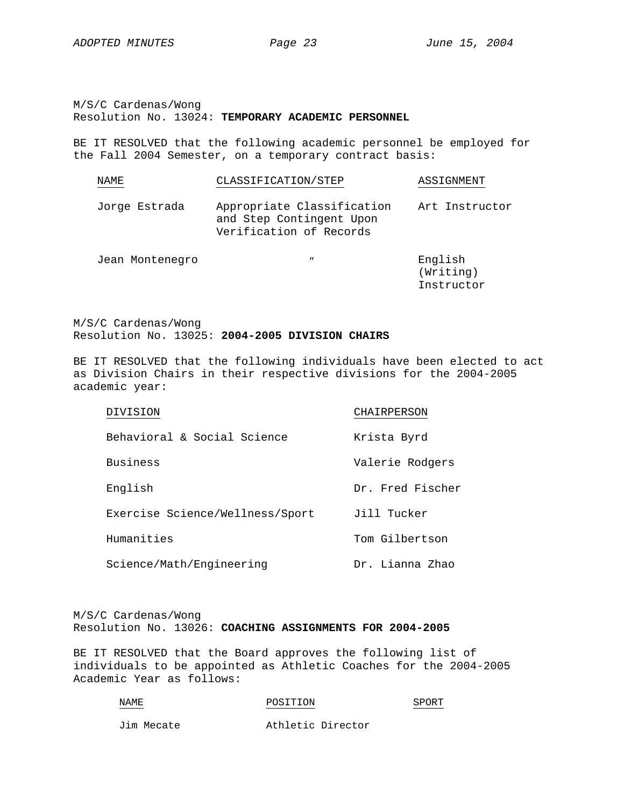(Writing) Instructor

M/S/C Cardenas/Wong Resolution No. 13024: **TEMPORARY ACADEMIC PERSONNEL**

BE IT RESOLVED that the following academic personnel be employed for the Fall 2004 Semester, on a temporary contract basis:

| NAME            | CLASSIFICATION/STEP                                                               | ASSIGNMENT     |
|-----------------|-----------------------------------------------------------------------------------|----------------|
| Jorge Estrada   | Appropriate Classification<br>and Step Contingent Upon<br>Verification of Records | Art Instructor |
| Jean Montenegro | "                                                                                 | English        |

M/S/C Cardenas/Wong Resolution No. 13025: **2004-2005 DIVISION CHAIRS**

BE IT RESOLVED that the following individuals have been elected to act as Division Chairs in their respective divisions for the 2004-2005 academic year:

| DIVISION                        | CHAIRPERSON      |
|---------------------------------|------------------|
| Behavioral & Social Science     | Krista Byrd      |
| Business                        | Valerie Rodgers  |
| English                         | Dr. Fred Fischer |
| Exercise Science/Wellness/Sport | Jill Tucker      |
| Humanities                      | Tom Gilbertson   |
| Science/Math/Engineering        | Dr. Lianna Zhao  |

M/S/C Cardenas/Wong Resolution No. 13026: **COACHING ASSIGNMENTS FOR 2004-2005**

BE IT RESOLVED that the Board approves the following list of individuals to be appointed as Athletic Coaches for the 2004-2005 Academic Year as follows:

| NAME       | POSITION          | SPORT |
|------------|-------------------|-------|
| Jim Mecate | Athletic Director |       |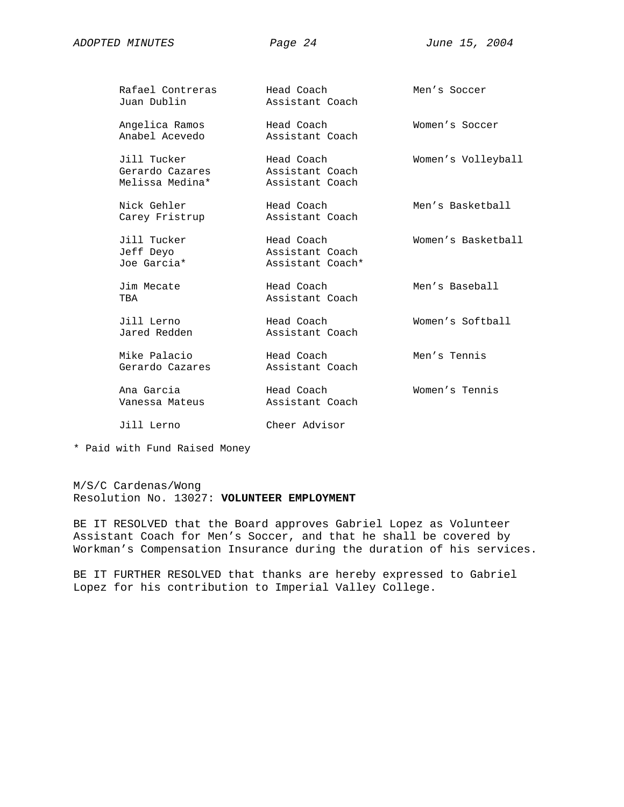| Rafael Contreras<br>Juan Dublin                   | Head Coach<br>Assistant Coach                     | Men's Soccer       |
|---------------------------------------------------|---------------------------------------------------|--------------------|
| Angelica Ramos<br>Anabel Acevedo                  | Head Coach<br>Assistant Coach                     | Women's Soccer     |
| Jill Tucker<br>Gerardo Cazares<br>Melissa Medina* | Head Coach<br>Assistant Coach<br>Assistant Coach  | Women's Volleyball |
| Nick Gehler<br>Carey Fristrup                     | Head Coach<br>Assistant Coach                     | Men's Basketball   |
| Jill Tucker<br>Jeff Deyo<br>Joe Garcia*           | Head Coach<br>Assistant Coach<br>Assistant Coach* | Women's Basketball |
| Jim Mecate<br>TBA                                 | Head Coach<br>Assistant Coach                     | Men's Baseball     |
| Jill Lerno<br>Jared Redden                        | Head Coach<br>Assistant Coach                     | Women's Softball   |
| Mike Palacio<br>Gerardo Cazares                   | Head Coach<br>Assistant Coach                     | Men's Tennis       |
| Ana Garcia<br>Vanessa Mateus                      | Head Coach<br>Assistant Coach                     | Women's Tennis     |
| Jill Lerno                                        | Cheer Advisor                                     |                    |

\* Paid with Fund Raised Money

M/S/C Cardenas/Wong Resolution No. 13027: **VOLUNTEER EMPLOYMENT**

BE IT RESOLVED that the Board approves Gabriel Lopez as Volunteer Assistant Coach for Men's Soccer, and that he shall be covered by Workman's Compensation Insurance during the duration of his services.

BE IT FURTHER RESOLVED that thanks are hereby expressed to Gabriel Lopez for his contribution to Imperial Valley College.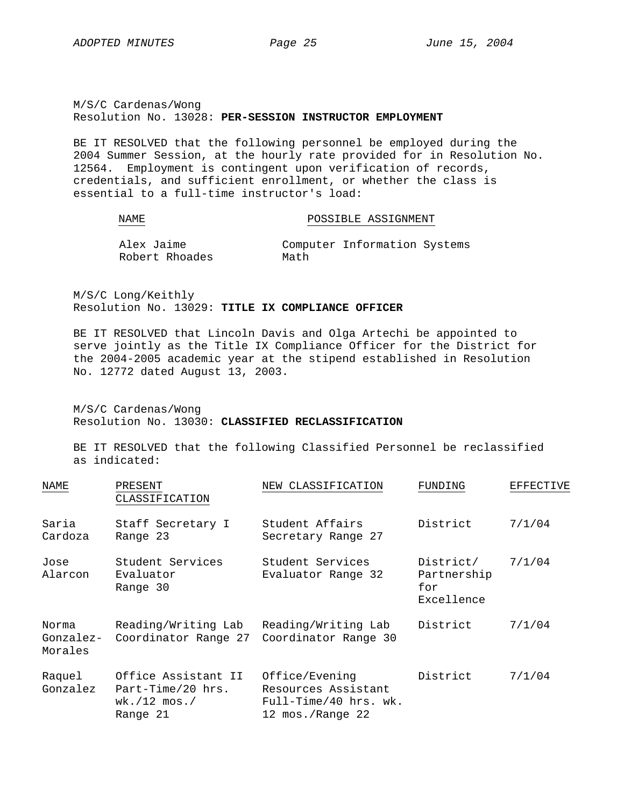M/S/C Cardenas/Wong Resolution No. 13028: **PER-SESSION INSTRUCTOR EMPLOYMENT**

BE IT RESOLVED that the following personnel be employed during the 2004 Summer Session, at the hourly rate provided for in Resolution No. 12564. Employment is contingent upon verification of records, credentials, and sufficient enrollment, or whether the class is essential to a full-time instructor's load:

NAME POSSIBLE ASSIGNMENT

| Alex Jaime     |      | Computer Information Systems |  |
|----------------|------|------------------------------|--|
| Robert Rhoades | Math |                              |  |

M/S/C Long/Keithly Resolution No. 13029: **TITLE IX COMPLIANCE OFFICER**

BE IT RESOLVED that Lincoln Davis and Olga Artechi be appointed to serve jointly as the Title IX Compliance Officer for the District for the 2004-2005 academic year at the stipend established in Resolution No. 12772 dated August 13, 2003.

M/S/C Cardenas/Wong Resolution No. 13030: **CLASSIFIED RECLASSIFICATION**

BE IT RESOLVED that the following Classified Personnel be reclassified as indicated:

| NAME                          | PRESENT<br>CLASSIFICATION                                                         | NEW CLASSIFICATION                                                                 | FUNDING                                       | EFFECTIVE |
|-------------------------------|-----------------------------------------------------------------------------------|------------------------------------------------------------------------------------|-----------------------------------------------|-----------|
| Saria<br>Cardoza              | Staff Secretary I<br>Range 23                                                     | Student Affairs<br>Secretary Range 27                                              | District                                      | 7/1/04    |
| Jose<br>Alarcon               | Student Services<br>Evaluator<br>Range 30                                         | Student Services<br>Evaluator Range 32                                             | District/<br>Partnership<br>for<br>Excellence | 7/1/04    |
| Norma<br>Gonzalez-<br>Morales | Reading/Writing Lab<br>Coordinator Range 27                                       | Reading/Writing Lab<br>Coordinator Range 30                                        | District                                      | 7/1/04    |
| Raquel<br>Gonzalez            | Office Assistant II<br>Part-Time/20 hrs.<br>$wk. / 12 \text{ mos.} /$<br>Range 21 | Office/Evening<br>Resources Assistant<br>Full-Time/40 hrs. wk.<br>12 mos./Range 22 | District                                      | 7/1/04    |